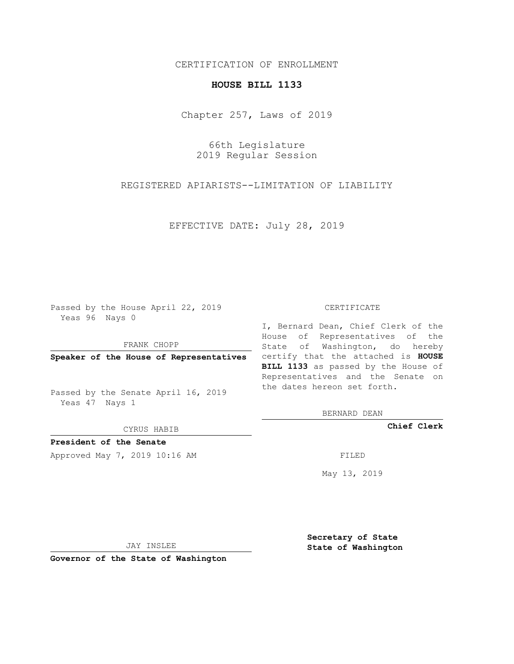## CERTIFICATION OF ENROLLMENT

## **HOUSE BILL 1133**

Chapter 257, Laws of 2019

66th Legislature 2019 Regular Session

REGISTERED APIARISTS--LIMITATION OF LIABILITY

EFFECTIVE DATE: July 28, 2019

Passed by the House April 22, 2019 Yeas 96 Nays 0

FRANK CHOPP

Passed by the Senate April 16, 2019 Yeas 47 Nays 1

CYRUS HABIB

**President of the Senate**

Approved May 7, 2019 10:16 AM FILED

#### CERTIFICATE

**Speaker of the House of Representatives** certify that the attached is **HOUSE** I, Bernard Dean, Chief Clerk of the House of Representatives of the State of Washington, do hereby **BILL 1133** as passed by the House of Representatives and the Senate on the dates hereon set forth.

BERNARD DEAN

**Chief Clerk**

May 13, 2019

JAY INSLEE

**Governor of the State of Washington**

**Secretary of State State of Washington**